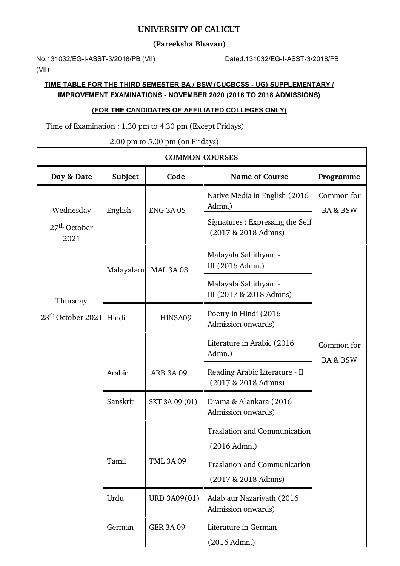### **UNIVERSITY OF CALICUT**

**(Pareeksha Bhavan)**

No.131032/EG-I-ASST-3/2018/PB (VII) Dated.131032/EG-I-ASST-3/2018/PB (VII)

 $\mathsf{r}$ 

## **TIME TABLE FOR THE THIRD SEMESTER BA / BSW (CUCBCSS - UG) SUPPLEMENTARY / IMPROVEMENT EXAMINATIONS - NOVEMBER 2020 (2016 TO 2018 ADMISSIONS)**

### **(FOR THE CANDIDATES OF AFFILIATED COLLEGES ONLY)**

Time of Examination : 1.30 pm to 4.30 pm (Except Fridays)

2.00 pm to 5.00 pm (on Fridays)

| <b>COMMON COURSES</b>                           |           |                                                               |                                                            |                                   |  |
|-------------------------------------------------|-----------|---------------------------------------------------------------|------------------------------------------------------------|-----------------------------------|--|
| Day & Date                                      | Subject   | Code                                                          | <b>Name of Course</b>                                      | Programme                         |  |
| Wednesday                                       | English   | <b>ENG 3A 05</b>                                              | Native Media in English (2016)<br>Admn.)                   | Common for<br><b>BA &amp; BSW</b> |  |
| 27 <sup>th</sup> October<br>2021                |           |                                                               | Signatures : Expressing the Self<br>(2017 & 2018 Admns)    |                                   |  |
| Thursday<br>28 <sup>th</sup> October 2021 Hindi | Malayalam | <b>MAL 3A 03</b>                                              | Malayala Sahithyam -<br>III (2016 Admn.)                   |                                   |  |
|                                                 |           |                                                               | Malayala Sahithyam -<br>III (2017 & 2018 Admns)            |                                   |  |
|                                                 |           | Poetry in Hindi (2016<br><b>HIN3A09</b><br>Admission onwards) |                                                            |                                   |  |
|                                                 |           |                                                               | Literature in Arabic (2016<br>Admn.)                       | Common for<br><b>BA &amp; BSW</b> |  |
|                                                 | Arabic    | <b>ARB 3A 09</b>                                              | Reading Arabic Literature - II<br>(2017 & 2018 Admns)      |                                   |  |
|                                                 | Sanskrit  | SKT 3A 09 (01)                                                | Drama & Alankara (2016<br>Admission onwards)               |                                   |  |
|                                                 |           |                                                               | <b>Traslation and Communication</b><br>$(2016$ Admn.)      |                                   |  |
|                                                 | Tamil     | <b>TML 3A 09</b>                                              | <b>Traslation and Communication</b><br>(2017 & 2018 Admns) |                                   |  |
|                                                 | Urdu      | URD 3A09(01)                                                  | Adab aur Nazariyath (2016<br>Admission onwards)            |                                   |  |
|                                                 | German    | <b>GER 3A 09</b>                                              | Literature in German<br>(2016 Admn.)                       |                                   |  |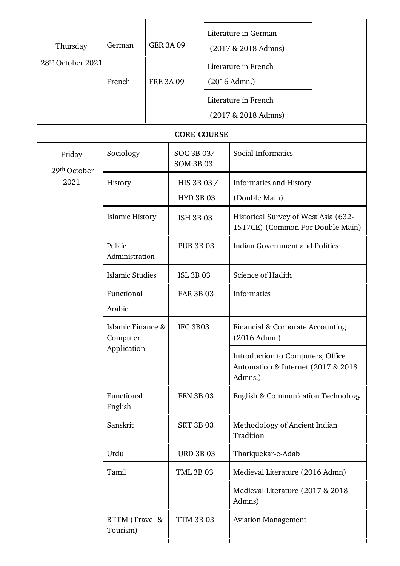| Thursday<br>28 <sup>th</sup> October 2021 | German<br>French                             | <b>GER 3A 09</b><br><b>FRE 3A 09</b> |                                 |  | Literature in German<br>$(2017 & 2018$ Admns)<br>Literature in French<br>(2016 Admn.)<br>Literature in French<br>$(2017 & 2018$ Admns) |  |
|-------------------------------------------|----------------------------------------------|--------------------------------------|---------------------------------|--|----------------------------------------------------------------------------------------------------------------------------------------|--|
| <b>CORE COURSE</b>                        |                                              |                                      |                                 |  |                                                                                                                                        |  |
| Friday<br>29 <sup>th</sup> October        | Sociology                                    |                                      | SOC 3B 03/<br><b>SOM 3B 03</b>  |  | Social Informatics                                                                                                                     |  |
| 2021                                      | History                                      |                                      | HIS 3B 03 /<br><b>HYD 3B 03</b> |  | <b>Informatics and History</b><br>(Double Main)                                                                                        |  |
|                                           | <b>Islamic History</b>                       |                                      | <b>ISH 3B 03</b>                |  | Historical Survey of West Asia (632-<br>1517CE) (Common For Double Main)                                                               |  |
|                                           | Public<br>Administration                     |                                      | <b>PUB 3B 03</b>                |  | <b>Indian Government and Politics</b>                                                                                                  |  |
|                                           | <b>Islamic Studies</b>                       |                                      | <b>ISL 3B 03</b>                |  | Science of Hadith                                                                                                                      |  |
|                                           | Functional<br>Arabic                         |                                      | <b>FAR 3B 03</b>                |  | <b>Informatics</b>                                                                                                                     |  |
|                                           | Islamic Finance &<br>Computer<br>Application |                                      | <b>IFC 3B03</b>                 |  | Financial & Corporate Accounting<br>(2016 Admn.)                                                                                       |  |
|                                           |                                              |                                      |                                 |  | Introduction to Computers, Office<br>Automation & Internet (2017 & 2018)<br>Admns.)                                                    |  |
|                                           | Functional<br>English                        |                                      | <b>FEN 3B 03</b>                |  | <b>English &amp; Communication Technology</b>                                                                                          |  |
|                                           | Sanskrit                                     |                                      | <b>SKT 3B 03</b>                |  | Methodology of Ancient Indian<br>Tradition                                                                                             |  |
|                                           | Urdu                                         |                                      | <b>URD 3B 03</b>                |  | Thariquekar-e-Adab                                                                                                                     |  |
|                                           | Tamil                                        |                                      | <b>TML 3B 03</b>                |  | Medieval Literature (2016 Admn)                                                                                                        |  |
|                                           |                                              |                                      |                                 |  | Medieval Literature (2017 & 2018)<br>Admns)                                                                                            |  |
|                                           | BTTM (Travel &<br>Tourism)                   |                                      | <b>TTM 3B 03</b>                |  | <b>Aviation Management</b>                                                                                                             |  |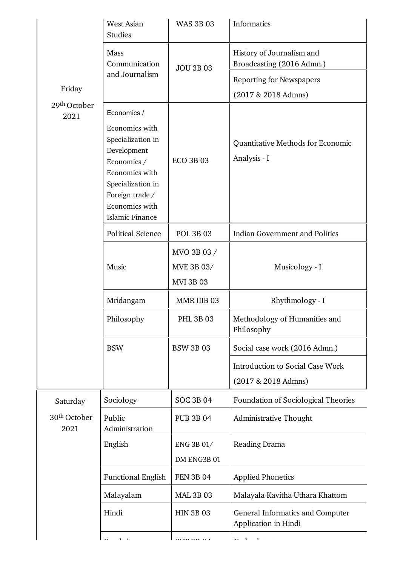|                                  | <b>West Asian</b><br><b>Studies</b>                                                                                                                              | <b>WAS 3B 03</b>                              | Informatics                                              |
|----------------------------------|------------------------------------------------------------------------------------------------------------------------------------------------------------------|-----------------------------------------------|----------------------------------------------------------|
|                                  | Mass<br>Communication                                                                                                                                            | <b>JOU 3B 03</b>                              | History of Journalism and<br>Broadcasting (2016 Admn.)   |
|                                  | and Journalism                                                                                                                                                   |                                               | <b>Reporting for Newspapers</b>                          |
| Friday                           |                                                                                                                                                                  |                                               | (2017 & 2018 Admns)                                      |
| 29 <sup>th</sup> October<br>2021 | Economics /                                                                                                                                                      |                                               |                                                          |
|                                  | Economics with<br>Specialization in<br>Development<br>Economics /<br>Economics with<br>Specialization in<br>Foreign trade /<br>Economics with<br>Islamic Finance | <b>ECO 3B 03</b>                              | Quantitative Methods for Economic<br>Analysis - I        |
|                                  | <b>Political Science</b>                                                                                                                                         | <b>POL 3B 03</b>                              | <b>Indian Government and Politics</b>                    |
|                                  | Music                                                                                                                                                            | MVO 3B 03 /<br>MVE 3B 03/<br><b>MVI 3B 03</b> | Musicology - I                                           |
|                                  | Mridangam                                                                                                                                                        | MMR IIIB 03                                   | Rhythmology - I                                          |
|                                  | Philosophy                                                                                                                                                       | <b>PHL 3B 03</b>                              | Methodology of Humanities and<br>Philosophy              |
|                                  | <b>BSW</b>                                                                                                                                                       | <b>BSW 3B 03</b>                              | Social case work (2016 Admn.)                            |
|                                  |                                                                                                                                                                  |                                               | Introduction to Social Case Work<br>(2017 & 2018 Admns)  |
| Saturday                         | Sociology                                                                                                                                                        | <b>SOC 3B 04</b>                              | Foundation of Sociological Theories                      |
| 30 <sup>th</sup> October<br>2021 | Public<br>Administration                                                                                                                                         | <b>PUB 3B 04</b>                              | Administrative Thought                                   |
|                                  | English                                                                                                                                                          | ENG 3B 01/<br>DM ENG3B 01                     | Reading Drama                                            |
|                                  | <b>Functional English</b>                                                                                                                                        | <b>FEN 3B 04</b>                              | <b>Applied Phonetics</b>                                 |
|                                  | Malayalam                                                                                                                                                        | <b>MAL 3B 03</b>                              | Malayala Kavitha Uthara Khattom                          |
|                                  | Hindi                                                                                                                                                            | <b>HIN 3B 03</b>                              | General Informatics and Computer<br>Application in Hindi |
|                                  | $\sqrt{ }$<br>$1 - \epsilon$                                                                                                                                     | $ATTE$ on $\alpha$                            |                                                          |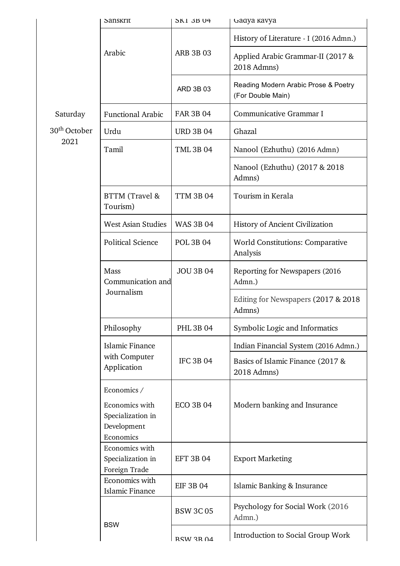|                          | Sanskrit                                                                       | <b>SK1 3B 04</b> | Gadya kavya                                               |
|--------------------------|--------------------------------------------------------------------------------|------------------|-----------------------------------------------------------|
|                          | Arabic                                                                         | <b>ARB 3B 03</b> | History of Literature - I (2016 Admn.)                    |
|                          |                                                                                |                  | Applied Arabic Grammar-II (2017 &<br>2018 Admns)          |
|                          |                                                                                | ARD 3B 03        | Reading Modern Arabic Prose & Poetry<br>(For Double Main) |
| Saturday                 | <b>Functional Arabic</b>                                                       | <b>FAR 3B 04</b> | Communicative Grammar I                                   |
| 30 <sup>th</sup> October | Urdu                                                                           | <b>URD 3B 04</b> | Ghazal                                                    |
| 2021                     | Tamil                                                                          | <b>TML 3B 04</b> | Nanool (Ezhuthu) (2016 Admn)                              |
|                          |                                                                                |                  | Nanool (Ezhuthu) (2017 & 2018)<br>Admns)                  |
|                          | BTTM (Travel &<br>Tourism)                                                     | <b>TTM 3B 04</b> | Tourism in Kerala                                         |
|                          | <b>West Asian Studies</b>                                                      | <b>WAS 3B 04</b> | History of Ancient Civilization                           |
|                          | <b>Political Science</b>                                                       | <b>POL 3B 04</b> | <b>World Constitutions: Comparative</b><br>Analysis       |
|                          | Mass<br>Communication and<br>Journalism                                        | <b>JOU 3B 04</b> | Reporting for Newspapers (2016)<br>Admn.)                 |
|                          |                                                                                |                  | Editing for Newspapers (2017 & 2018)<br>Admns)            |
|                          | Philosophy                                                                     | <b>PHL 3B 04</b> | Symbolic Logic and Informatics                            |
|                          | <b>Islamic Finance</b><br>with Computer<br>Application                         | <b>IFC 3B 04</b> | Indian Financial System (2016 Admn.)                      |
|                          |                                                                                |                  | Basics of Islamic Finance (2017 &<br>2018 Admns)          |
|                          | Economics /<br>Economics with<br>Specialization in<br>Development<br>Economics | <b>ECO 3B 04</b> | Modern banking and Insurance                              |
|                          | Economics with<br>Specialization in<br>Foreign Trade                           | <b>EFT 3B 04</b> | <b>Export Marketing</b>                                   |
|                          | Economics with<br><b>Islamic Finance</b>                                       | <b>EIF 3B 04</b> | Islamic Banking & Insurance                               |
|                          | <b>BSW</b>                                                                     | <b>BSW 3C 05</b> | Psychology for Social Work (2016)<br>Admn.)               |
|                          |                                                                                | RSW 3R 04        | Introduction to Social Group Work                         |